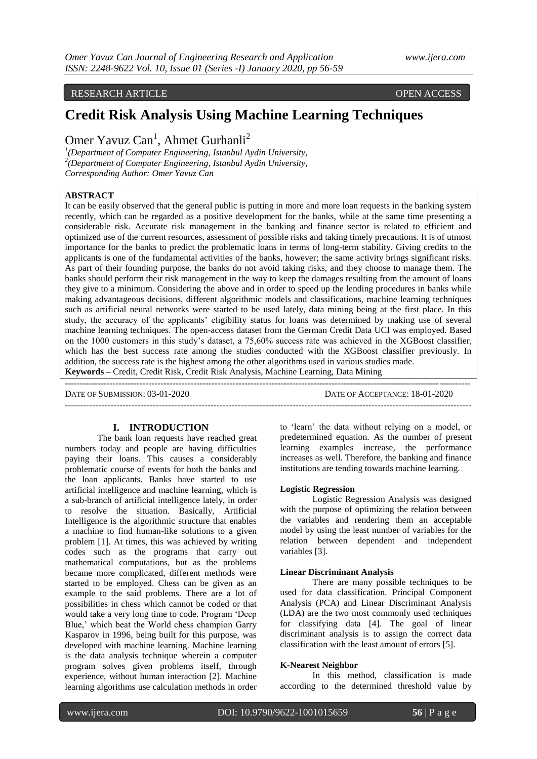## RESEARCH ARTICLE OPEN ACCESS

# **Credit Risk Analysis Using Machine Learning Techniques**

Omer Yavuz Can<sup>1</sup>, Ahmet Gurhanli<sup>2</sup>

*1 (Department of Computer Engineering, Istanbul Aydin University, 2 (Department of Computer Engineering, Istanbul Aydin University, Corresponding Author: Omer Yavuz Can*

## **ABSTRACT**

It can be easily observed that the general public is putting in more and more loan requests in the banking system recently, which can be regarded as a positive development for the banks, while at the same time presenting a considerable risk. Accurate risk management in the banking and finance sector is related to efficient and optimized use of the current resources, assessment of possible risks and taking timely precautions. It is of utmost importance for the banks to predict the problematic loans in terms of long-term stability. Giving credits to the applicants is one of the fundamental activities of the banks, however; the same activity brings significant risks. As part of their founding purpose, the banks do not avoid taking risks, and they choose to manage them. The banks should perform their risk management in the way to keep the damages resulting from the amount of loans they give to a minimum. Considering the above and in order to speed up the lending procedures in banks while making advantageous decisions, different algorithmic models and classifications, machine learning techniques such as artificial neural networks were started to be used lately, data mining being at the first place. In this study, the accuracy of the applicants' eligibility status for loans was determined by making use of several machine learning techniques. The open-access dataset from the German Credit Data UCI was employed. Based on the 1000 customers in this study's dataset, a 75,60% success rate was achieved in the XGBoost classifier, which has the best success rate among the studies conducted with the XGBoost classifier previously. In addition, the success rate is the highest among the other algorithms used in various studies made.

**Keywords –** Credit, Credit Risk, Credit Risk Analysis, Machine Learning, Data Mining

--------------------------------------------------------------------------------------------------------------------------------------- DATE OF SUBMISSION: 03-01-2020 DATE OF ACCEPTANCE: 18-01-2020 --------------------------------------------------------------------------------------------------------------------------------------

#### **I. INTRODUCTION**

The bank loan requests have reached great numbers today and people are having difficulties paying their loans. This causes a considerably problematic course of events for both the banks and the loan applicants. Banks have started to use artificial intelligence and machine learning, which is a sub-branch of artificial intelligence lately, in order to resolve the situation. Basically, Artificial Intelligence is the algorithmic structure that enables a machine to find human-like solutions to a given problem [1]. At times, this was achieved by writing codes such as the programs that carry out mathematical computations, but as the problems became more complicated, different methods were started to be employed. Chess can be given as an example to the said problems. There are a lot of possibilities in chess which cannot be coded or that would take a very long time to code. Program 'Deep Blue,' which beat the World chess champion Garry Kasparov in 1996, being built for this purpose, was developed with machine learning. Machine learning is the data analysis technique wherein a computer program solves given problems itself, through experience, without human interaction [2]. Machine learning algorithms use calculation methods in order

to 'learn' the data without relying on a model, or predetermined equation. As the number of present learning examples increase, the performance increases as well. Therefore, the banking and finance institutions are tending towards machine learning.

#### **Logistic Regression**

Logistic Regression Analysis was designed with the purpose of optimizing the relation between the variables and rendering them an acceptable model by using the least number of variables for the relation between dependent and independent variables [3].

#### **Linear Discriminant Analysis**

There are many possible techniques to be used for data classification. Principal Component Analysis (PCA) and Linear Discriminant Analysis (LDA) are the two most commonly used techniques for classifying data [4]. The goal of linear discriminant analysis is to assign the correct data classification with the least amount of errors [5].

#### **K-Nearest Neighbor**

In this method, classification is made according to the determined threshold value by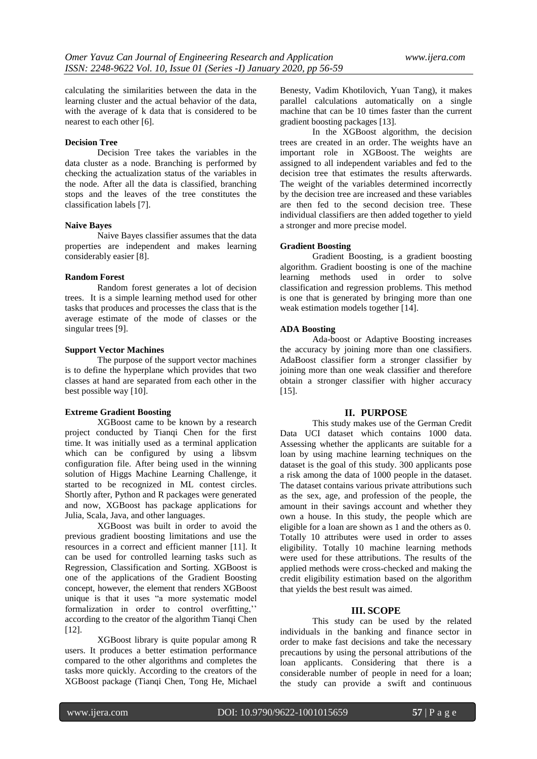calculating the similarities between the data in the learning cluster and the actual behavior of the data, with the average of k data that is considered to be nearest to each other [6].

#### **Decision Tree**

Decision Tree takes the variables in the data cluster as a node. Branching is performed by checking the actualization status of the variables in the node. After all the data is classified, branching stops and the leaves of the tree constitutes the classification labels [7].

#### **Naive Bayes**

Naive Bayes classifier assumes that the data properties are independent and makes learning considerably easier [8].

## **Random Forest**

Random forest generates a lot of decision trees. It is a simple learning method used for other tasks that produces and processes the class that is the average estimate of the mode of classes or the singular trees [9].

#### **Support Vector Machines**

The purpose of the support vector machines is to define the hyperplane which provides that two classes at hand are separated from each other in the best possible way [10].

## **Extreme Gradient Boosting**

XGBoost came to be known by a research project conducted by Tianqi Chen for the first time. It was initially used as a terminal application which can be configured by using a libsvm configuration file. After being used in the winning solution of Higgs Machine Learning Challenge, it started to be recognized in ML contest circles. Shortly after, Python and R packages were generated and now, XGBoost has package applications for Julia, [Scala,](https://www.wikizeroo.org/index.php?q=aHR0cHM6Ly9lbi53aWtpcGVkaWEub3JnL3dpa2kvU2NhbGFfKHByb2dyYW1taW5nX2xhbmd1YWdlKQ) Java, and other languages.

XGBoost was built in order to avoid the previous gradient boosting limitations and use the resources in a correct and efficient manner [11]. It can be used for controlled learning tasks such as Regression, Classification and Sorting. XGBoost is one of the applications of the Gradient Boosting concept, however, the element that renders XGBoost unique is that it uses "a more systematic model formalization in order to control overfitting,'' according to the creator of the algorithm Tianqi Chen [12].

XGBoost library is quite popular among R users. It produces a better estimation performance compared to the other algorithms and completes the tasks more quickly. According to the creators of the XGBoost package (Tianqi Chen, Tong He, Michael

Benesty, Vadim Khotilovich, Yuan Tang), it makes parallel calculations automatically on a single machine that can be 10 times faster than the current gradient boosting packages [13].

In the XGBoost algorithm, the decision trees are created in an order. The weights have an important role in XGBoost. The weights are assigned to all independent variables and fed to the decision tree that estimates the results afterwards. The weight of the variables determined incorrectly by the decision tree are increased and these variables are then fed to the second decision tree. These individual classifiers are then added together to yield a stronger and more precise model.

## **Gradient Boosting**

Gradient Boosting, is a gradient boosting algorithm. Gradient boosting is one of the machine learning methods used in order to solve classification and regression problems. This method is one that is generated by bringing more than one weak estimation models together [14].

## **ADA Boosting**

Ada-boost or Adaptive Boosting increases the accuracy by joining more than one classifiers. AdaBoost classifier form a stronger classifier by joining more than one weak classifier and therefore obtain a stronger classifier with higher accuracy [15].

## **II. PURPOSE**

This study makes use of the German Credit Data UCI dataset which contains 1000 data. Assessing whether the applicants are suitable for a loan by using machine learning techniques on the dataset is the goal of this study. 300 applicants pose a risk among the data of 1000 people in the dataset. The dataset contains various private attributions such as the sex, age, and profession of the people, the amount in their savings account and whether they own a house. In this study, the people which are eligible for a loan are shown as 1 and the others as 0. Totally 10 attributes were used in order to asses eligibility. Totally 10 machine learning methods were used for these attributions. The results of the applied methods were cross-checked and making the credit eligibility estimation based on the algorithm that yields the best result was aimed.

## **III. SCOPE**

This study can be used by the related individuals in the banking and finance sector in order to make fast decisions and take the necessary precautions by using the personal attributions of the loan applicants. Considering that there is a considerable number of people in need for a loan; the study can provide a swift and continuous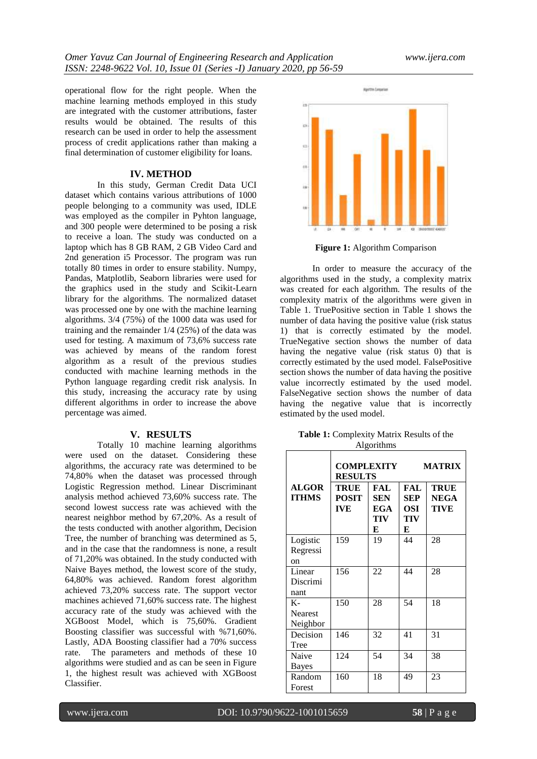operational flow for the right people. When the machine learning methods employed in this study are integrated with the customer attributions, faster results would be obtained. The results of this research can be used in order to help the assessment process of credit applications rather than making a final determination of customer eligibility for loans.

#### **IV. METHOD**

In this study, German Credit Data UCI dataset which contains various attributions of 1000 people belonging to a community was used, IDLE was employed as the compiler in Pyhton language, and 300 people were determined to be posing a risk to receive a loan. The study was conducted on a laptop which has 8 GB RAM, 2 GB Video Card and 2nd generation i5 Processor. The program was run totally 80 times in order to ensure stability. Numpy, Pandas, Matplotlib, Seaborn libraries were used for the graphics used in the study and Scikit-Learn library for the algorithms. The normalized dataset was processed one by one with the machine learning algorithms. 3/4 (75%) of the 1000 data was used for training and the remainder 1/4 (25%) of the data was used for testing. A maximum of 73,6% success rate was achieved by means of the random forest algorithm as a result of the previous studies conducted with machine learning methods in the Python language regarding credit risk analysis. In this study, increasing the accuracy rate by using different algorithms in order to increase the above percentage was aimed.

#### **V. RESULTS**

Totally 10 machine learning algorithms were used on the dataset. Considering these algorithms, the accuracy rate was determined to be 74,80% when the dataset was processed through Logistic Regression method. Linear Discriminant analysis method achieved 73,60% success rate. The second lowest success rate was achieved with the nearest neighbor method by 67,20%. As a result of the tests conducted with another algorithm, Decision Tree, the number of branching was determined as 5, and in the case that the randomness is none, a result of 71,20% was obtained. In the study conducted with Naive Bayes method, the lowest score of the study, 64,80% was achieved. Random forest algorithm achieved 73,20% success rate. The support vector machines achieved 71,60% success rate. The highest accuracy rate of the study was achieved with the XGBoost Model, which is 75,60%. Gradient Boosting classifier was successful with %71,60%. Lastly, ADA Boosting classifier had a 70% success rate. The parameters and methods of these 10 algorithms were studied and as can be seen in Figure 1, the highest result was achieved with XGBoost Classifier.



**Figure 1:** Algorithm Comparison

In order to measure the accuracy of the algorithms used in the study, a complexity matrix was created for each algorithm. The results of the complexity matrix of the algorithms were given in Table 1. TruePositive section in Table 1 shows the number of data having the positive value (risk status 1) that is correctly estimated by the model. TrueNegative section shows the number of data having the negative value (risk status 0) that is correctly estimated by the used model. FalsePositive section shows the number of data having the positive value incorrectly estimated by the used model. FalseNegative section shows the number of data having the negative value that is incorrectly estimated by the used model.

| <b>Table 1:</b> Complexity Matrix Results of the |  |
|--------------------------------------------------|--|
| <b>Algorithms</b>                                |  |

|                                    | COMPLEXITY<br><b>RESULTS</b>              |                                      |                                        | <b>MATRIX</b>                      |
|------------------------------------|-------------------------------------------|--------------------------------------|----------------------------------------|------------------------------------|
| <b>ALGOR</b><br><b>ITHMS</b>       | <b>TRUE</b><br><b>POSIT</b><br><b>IVE</b> | FAL<br><b>SEN</b><br>EGA<br>TIV<br>E | FAL<br><b>SEP</b><br>OSI -<br>TIV<br>E | <b>TRUE</b><br><b>NEGA</b><br>TIVE |
| Logistic<br>Regressi<br>on         | 159                                       | 19                                   | 44                                     | 28                                 |
| Linear<br>Discrimi<br>nant         | 156                                       | 22                                   | 44                                     | 28                                 |
| $K-$<br><b>Nearest</b><br>Neighbor | 150                                       | 28                                   | 54                                     | 18                                 |
| Decision<br>Tree                   | 146                                       | 32                                   | 41                                     | 31                                 |
| Naive<br><b>Bayes</b>              | 124                                       | 54                                   | 34                                     | 38                                 |
| Random<br>Forest                   | 160                                       | 18                                   | 49                                     | 23                                 |